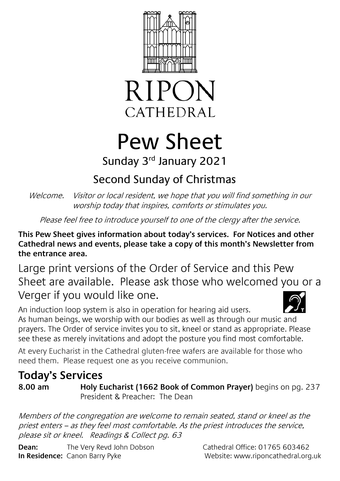



# Pew Sheet

#### Sunday 3<sup>rd</sup> January 2021

## Second Sunday of Christmas

Welcome. Visitor or local resident, we hope that you will find something in our worship today that inspires, comforts or stimulates you.

Please feel free to introduce yourself to one of the clergy after the service.

**This Pew Sheet gives information about today's services. For Notices and other Cathedral news and events, please take a copy of this month's Newsletter from the entrance area.** 

Large print versions of the Order of Service and this Pew Sheet are available. Please ask those who welcomed you or a Verger if you would like one.

An induction loop system is also in operation for hearing aid users. As human beings, we worship with our bodies as well as through our music and prayers. The Order of service invites you to sit, kneel or stand as appropriate. Please see these as merely invitations and adopt the posture you find most comfortable.

At every Eucharist in the Cathedral gluten-free wafers are available for those who need them. Please request one as you receive communion.

### **Today's Services**

**8.00 am Holy Eucharist (1662 Book of Common Prayer)** begins on pg. 237 President & Preacher: The Dean

Members of the congregation are welcome to remain seated, stand or kneel as the priest enters – as they feel most comfortable. As the priest introduces the service, please sit or kneel. Readings & Collect pg. 63

**Dean:** The Very Revd John Dobson Cathedral Office: 01765 603462 **In Residence:** Canon Barry Pyke Website: www.riponcathedral.org.uk